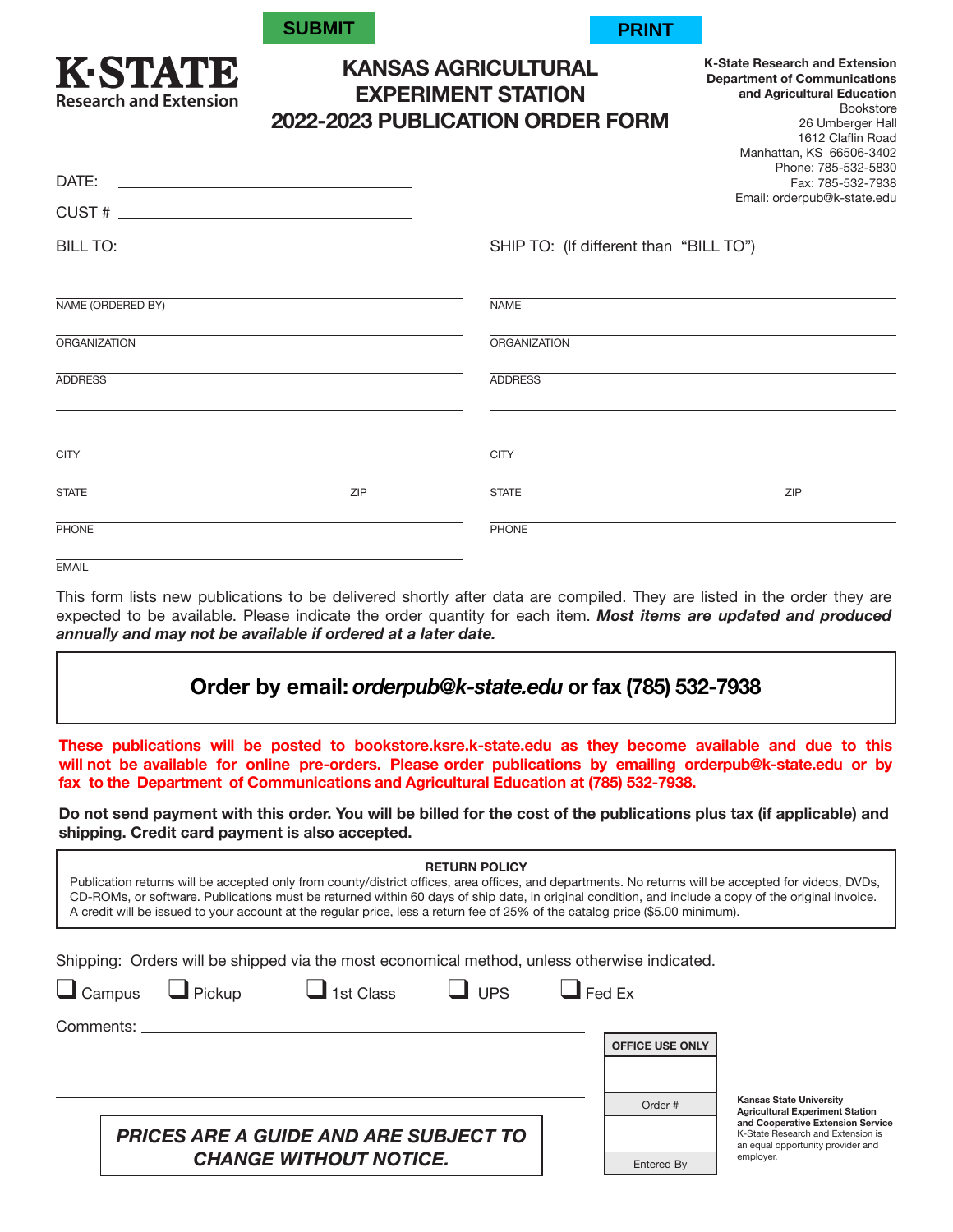| <b>SUBMIT</b> |  |
|---------------|--|
|               |  |

KESTATIE **Research and Extension** 



**K-State Research and Extension Department of Communications and Agricultural Education**

> Bookstore 26 Umberger Hall

## **KANSAS AGRICULTURAL EXPERIMENT STATION 2022-2023 PUBLICATION ORDER FORM**

| DATE:               |     | 1612 Claflin Road<br>Manhattan, KS 66506-3402<br>Phone: 785-532-5830<br>Fax: 785-532-7938<br>Email: orderpub@k-state.edu |  |
|---------------------|-----|--------------------------------------------------------------------------------------------------------------------------|--|
|                     |     |                                                                                                                          |  |
| <b>BILL TO:</b>     |     | SHIP TO: (If different than "BILL TO")                                                                                   |  |
| NAME (ORDERED BY)   |     | <b>NAME</b>                                                                                                              |  |
| <b>ORGANIZATION</b> |     | <b>ORGANIZATION</b>                                                                                                      |  |
| <b>ADDRESS</b>      |     | <b>ADDRESS</b>                                                                                                           |  |
| <b>CITY</b>         |     | <b>CITY</b>                                                                                                              |  |
| <b>STATE</b>        | ZIP | <b>STATE</b><br>ZIP                                                                                                      |  |
| PHONE               |     | PHONE                                                                                                                    |  |
| <b>EMAIL</b>        |     |                                                                                                                          |  |

This form lists new publications to be delivered shortly after data are compiled. They are listed in the order they are expected to be available. Please indicate the order quantity for each item. *Most items are updated and produced annually and may not be available if ordered at a later date.* 

## **Order by email:** *orderpub@k-state.edu* **or fax (785) 532-7938**

**These publications will be posted to bookstore.ksre.k-state.edu as they become available and due to this will not be available for online pre-orders. Please order publications by emailing orderpub@k-state.edu or by fax to the Department of Communications and Agricultural Education at (785) 532-7938.**

**Do not send payment with this order. You will be billed for the cost of the publications plus tax (if applicable) and shipping. Credit card payment is also accepted.** 

| <b>RETURN POLICY</b><br>Publication returns will be accepted only from county/district offices, area offices, and departments. No returns will be accepted for videos, DVDs,<br>CD-ROMs, or software. Publications must be returned within 60 days of ship date, in original condition, and include a copy of the original invoice.<br>A credit will be issued to your account at the regular price, less a return fee of 25% of the catalog price (\$5.00 minimum). |               |                        |                                                                             |  |  |  |  |
|----------------------------------------------------------------------------------------------------------------------------------------------------------------------------------------------------------------------------------------------------------------------------------------------------------------------------------------------------------------------------------------------------------------------------------------------------------------------|---------------|------------------------|-----------------------------------------------------------------------------|--|--|--|--|
| Shipping: Orders will be shipped via the most economical method, unless otherwise indicated.                                                                                                                                                                                                                                                                                                                                                                         |               |                        |                                                                             |  |  |  |  |
| $\Box$ Campus<br>$\Box$ 1st Class<br>$\Box$ UPS<br>$\Box$ Pickup                                                                                                                                                                                                                                                                                                                                                                                                     | $\Box$ Fed Ex |                        |                                                                             |  |  |  |  |
| Comments:                                                                                                                                                                                                                                                                                                                                                                                                                                                            |               |                        |                                                                             |  |  |  |  |
|                                                                                                                                                                                                                                                                                                                                                                                                                                                                      |               | <b>OFFICE USE ONLY</b> |                                                                             |  |  |  |  |
|                                                                                                                                                                                                                                                                                                                                                                                                                                                                      |               |                        |                                                                             |  |  |  |  |
|                                                                                                                                                                                                                                                                                                                                                                                                                                                                      |               |                        | <b>Kansas State University</b>                                              |  |  |  |  |
|                                                                                                                                                                                                                                                                                                                                                                                                                                                                      |               | Order #                | <b>Agricultural Experiment Station</b><br>and Cooperative Extension Service |  |  |  |  |
| <b>PRICES ARE A GUIDE AND ARE SUBJECT TO</b>                                                                                                                                                                                                                                                                                                                                                                                                                         |               |                        | K-State Research and Extension is<br>an equal opportunity provider and      |  |  |  |  |
| <b>CHANGE WITHOUT NOTICE.</b>                                                                                                                                                                                                                                                                                                                                                                                                                                        |               | Entered By             | employer.                                                                   |  |  |  |  |